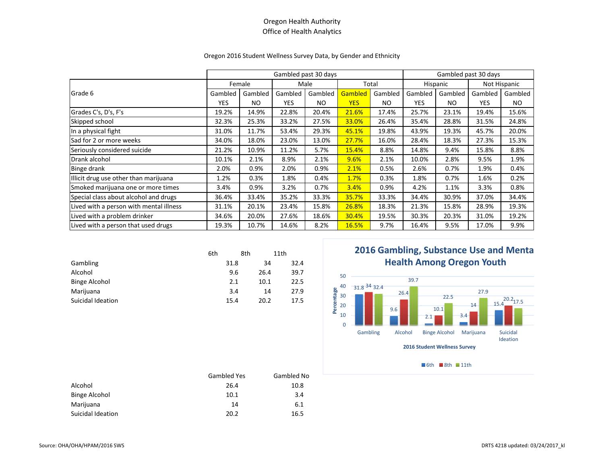#### Oregon 2016 Student Wellness Survey Data, by Gender and Ethnicity

|                                         | Gambled past 30 days |         |            |           |            | Gambled past 30 days |            |         |              |         |
|-----------------------------------------|----------------------|---------|------------|-----------|------------|----------------------|------------|---------|--------------|---------|
|                                         | Female               |         | Male       |           | Total      |                      | Hispanic   |         | Not Hispanic |         |
| Grade 6                                 | Gambled              | Gambled | Gambled    | Gambled   | Gambled    | Gambled              | Gambled    | Gambled | Gambled      | Gambled |
|                                         | <b>YES</b>           | NO.     | <b>YES</b> | <b>NO</b> | <b>YES</b> | NO.                  | <b>YES</b> | NO.     | <b>YES</b>   | NO.     |
| Grades C's, D's, F's                    | 19.2%                | 14.9%   | 22.8%      | 20.4%     | 21.6%      | 17.4%                | 25.7%      | 23.1%   | 19.4%        | 15.6%   |
| Skipped school                          | 32.3%                | 25.3%   | 33.2%      | 27.5%     | 33.0%      | 26.4%                | 35.4%      | 28.8%   | 31.5%        | 24.8%   |
| In a physical fight                     | 31.0%                | 11.7%   | 53.4%      | 29.3%     | 45.1%      | 19.8%                | 43.9%      | 19.3%   | 45.7%        | 20.0%   |
| Sad for 2 or more weeks                 | 34.0%                | 18.0%   | 23.0%      | 13.0%     | 27.7%      | 16.0%                | 28.4%      | 18.3%   | 27.3%        | 15.3%   |
| Seriously considered suicide            | 21.2%                | 10.9%   | 11.2%      | 5.7%      | 15.4%      | 8.8%                 | 14.8%      | 9.4%    | 15.8%        | 8.8%    |
| Drank alcohol                           | 10.1%                | 2.1%    | 8.9%       | 2.1%      | 9.6%       | 2.1%                 | 10.0%      | 2.8%    | 9.5%         | 1.9%    |
| Binge drank                             | 2.0%                 | 0.9%    | 2.0%       | 0.9%      | 2.1%       | 0.5%                 | 2.6%       | 0.7%    | 1.9%         | 0.4%    |
| Illicit drug use other than marijuana   | 1.2%                 | 0.3%    | 1.8%       | 0.4%      | 1.7%       | 0.3%                 | 1.8%       | 0.7%    | 1.6%         | 0.2%    |
| Smoked marijuana one or more times      | 3.4%                 | 0.9%    | 3.2%       | 0.7%      | 3.4%       | 0.9%                 | 4.2%       | 1.1%    | 3.3%         | 0.8%    |
| Special class about alcohol and drugs   | 36.4%                | 33.4%   | 35.2%      | 33.3%     | 35.7%      | 33.3%                | 34.4%      | 30.9%   | 37.0%        | 34.4%   |
| Lived with a person with mental illness | 31.1%                | 20.1%   | 23.4%      | 15.8%     | 26.8%      | 18.3%                | 21.3%      | 15.8%   | 28.9%        | 19.3%   |
| Lived with a problem drinker            | 34.6%                | 20.0%   | 27.6%      | 18.6%     | 30.4%      | 19.5%                | 30.3%      | 20.3%   | 31.0%        | 19.2%   |
| Lived with a person that used drugs     | 19.3%                | 10.7%   | 14.6%      | 8.2%      | 16.5%      | 9.7%                 | 16.4%      | 9.5%    | 17.0%        | 9.9%    |

|                      | 6th |      | 8th  | 11th |
|----------------------|-----|------|------|------|
| Gambling             |     | 31.8 | 34   | 32.4 |
| Alcohol              |     | 9.6  | 26.4 | 39.7 |
| <b>Binge Alcohol</b> |     | 2.1  | 10.1 | 22.5 |
| Marijuana            |     | 3.4  | 14   | 27.9 |
| Suicidal Ideation    |     | 15.4 | 20.2 | 17.5 |

# **2016 Gambling, Substance Use and Menta Health Among Oregon Youth**



6th  $\blacksquare$ 8th  $\blacksquare$ 11th

|                      | Gambled Yes | Gambled No |
|----------------------|-------------|------------|
| Alcohol              | 26.4        | 10.8       |
| <b>Binge Alcohol</b> | 10.1        | 3.4        |
| Marijuana            | 14          | 6.1        |
| Suicidal Ideation    | 20.2        | 16.5       |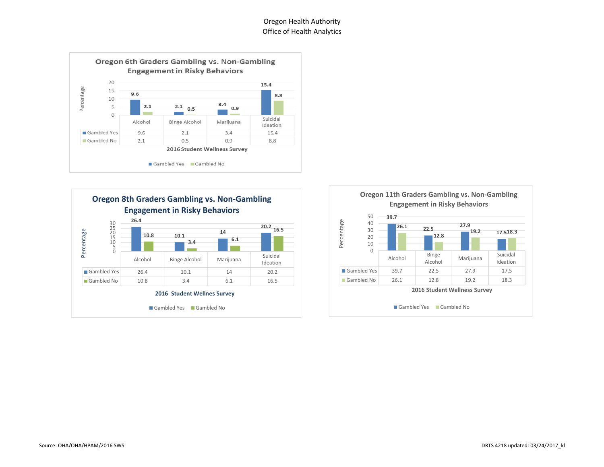



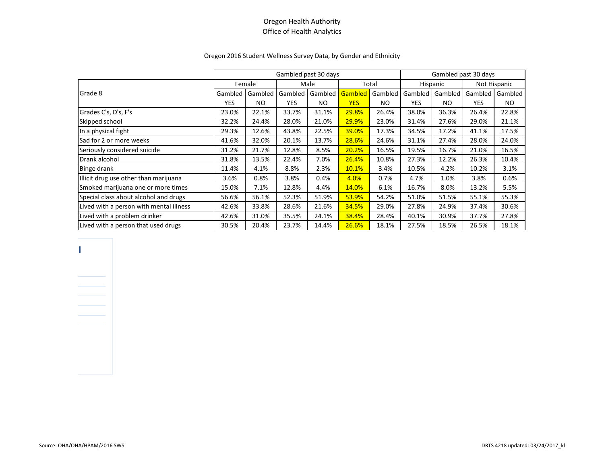#### Oregon 2016 Student Wellness Survey Data, by Gender and Ethnicity

|                                         | Gambled past 30 days |         |            |         |            | Gambled past 30 days |            |         |                |         |
|-----------------------------------------|----------------------|---------|------------|---------|------------|----------------------|------------|---------|----------------|---------|
|                                         | Female               |         | Male       |         | Total      |                      | Hispanic   |         | Not Hispanic   |         |
| Grade 8                                 | Gambled              | Gambled | Gambled    | Gambled | Gambled    | Gambled              | Gambled    | Gambled | <b>Gambled</b> | Gambled |
|                                         | <b>YES</b>           | NO.     | <b>YES</b> | NO.     | <b>YES</b> | NO.                  | <b>YES</b> | NO.     | <b>YES</b>     | NO.     |
| Grades C's, D's, F's                    | 23.0%                | 22.1%   | 33.7%      | 31.1%   | 29.8%      | 26.4%                | 38.0%      | 36.3%   | 26.4%          | 22.8%   |
| Skipped school                          | 32.2%                | 24.4%   | 28.0%      | 21.0%   | 29.9%      | 23.0%                | 31.4%      | 27.6%   | 29.0%          | 21.1%   |
| In a physical fight                     | 29.3%                | 12.6%   | 43.8%      | 22.5%   | 39.0%      | 17.3%                | 34.5%      | 17.2%   | 41.1%          | 17.5%   |
| Sad for 2 or more weeks                 | 41.6%                | 32.0%   | 20.1%      | 13.7%   | 28.6%      | 24.6%                | 31.1%      | 27.4%   | 28.0%          | 24.0%   |
| Seriously considered suicide            | 31.2%                | 21.7%   | 12.8%      | 8.5%    | 20.2%      | 16.5%                | 19.5%      | 16.7%   | 21.0%          | 16.5%   |
| Drank alcohol                           | 31.8%                | 13.5%   | 22.4%      | 7.0%    | 26.4%      | 10.8%                | 27.3%      | 12.2%   | 26.3%          | 10.4%   |
| Binge drank                             | 11.4%                | 4.1%    | 8.8%       | 2.3%    | 10.1%      | 3.4%                 | 10.5%      | 4.2%    | 10.2%          | 3.1%    |
| Illicit drug use other than marijuana   | 3.6%                 | 0.8%    | 3.8%       | 0.4%    | 4.0%       | 0.7%                 | 4.7%       | 1.0%    | 3.8%           | 0.6%    |
| Smoked marijuana one or more times      | 15.0%                | 7.1%    | 12.8%      | 4.4%    | 14.0%      | 6.1%                 | 16.7%      | 8.0%    | 13.2%          | 5.5%    |
| Special class about alcohol and drugs   | 56.6%                | 56.1%   | 52.3%      | 51.9%   | 53.9%      | 54.2%                | 51.0%      | 51.5%   | 55.1%          | 55.3%   |
| Lived with a person with mental illness | 42.6%                | 33.8%   | 28.6%      | 21.6%   | 34.5%      | 29.0%                | 27.8%      | 24.9%   | 37.4%          | 30.6%   |
| Lived with a problem drinker            | 42.6%                | 31.0%   | 35.5%      | 24.1%   | 38.4%      | 28.4%                | 40.1%      | 30.9%   | 37.7%          | 27.8%   |
| Lived with a person that used drugs     | 30.5%                | 20.4%   | 23.7%      | 14.4%   | 26.6%      | 18.1%                | 27.5%      | 18.5%   | 26.5%          | 18.1%   |

**2016 Gambling, Substance Use and Mental**